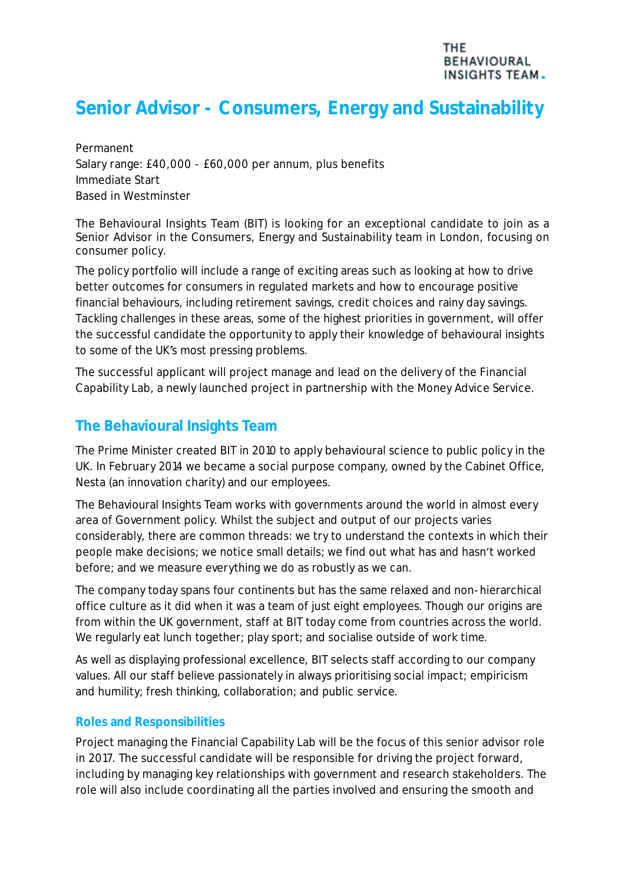# **Senior Advisor - Consumers, Energy and Sustainability**

Permanent Salary range: £40,000 - £60,000 per annum, plus benefits Immediate Start Based in Westminster

The Behavioural Insights Team (BIT) is looking for an exceptional candidate to join as a Senior Advisor in the Consumers, Energy and Sustainability team in London, focusing on consumer policy.

The policy portfolio will include a range of exciting areas such as looking at how to drive better outcomes for consumers in regulated markets and how to encourage positive financial behaviours, including retirement savings, credit choices and rainy day savings. Tackling challenges in these areas, some of the highest priorities in government, will offer the successful candidate the opportunity to apply their knowledge of behavioural insights to some of the UK's most pressing problems.

The successful applicant will project manage and lead on the delivery of the Financial Capability Lab, a newly launched project in partnership with the Money Advice Service.

## **The Behavioural Insights Team**

The Prime Minister created BIT in 2010 to apply behavioural science to public policy in the UK. In February 2014 we became a social purpose company, owned by the Cabinet Office, Nesta (an innovation charity) and our employees.

The Behavioural Insights Team works with governments around the world in almost every area of Government policy. Whilst the subject and output of our projects varies considerably, there are common threads: we try to understand the contexts in which their people make decisions; we notice small details; we find out what has and hasn't worked before; and we measure everything we do as robustly as we can.

The company today spans four continents but has the same relaxed and non-hierarchical office culture as it did when it was a team of just eight employees. Though our origins are from within the UK government, staff at BIT today come from countries across the world. We regularly eat lunch together; play sport; and socialise outside of work time.

As well as displaying professional excellence, BIT selects staff according to our company values. All our staff believe passionately in always prioritising social impact; empiricism and humility; fresh thinking, collaboration; and public service.

## **Roles and Responsibilities**

Project managing the Financial Capability Lab will be the focus of this senior advisor role in 2017. The successful candidate will be responsible for driving the project forward, including by managing key relationships with government and research stakeholders. The role will also include coordinating all the parties involved and ensuring the smooth and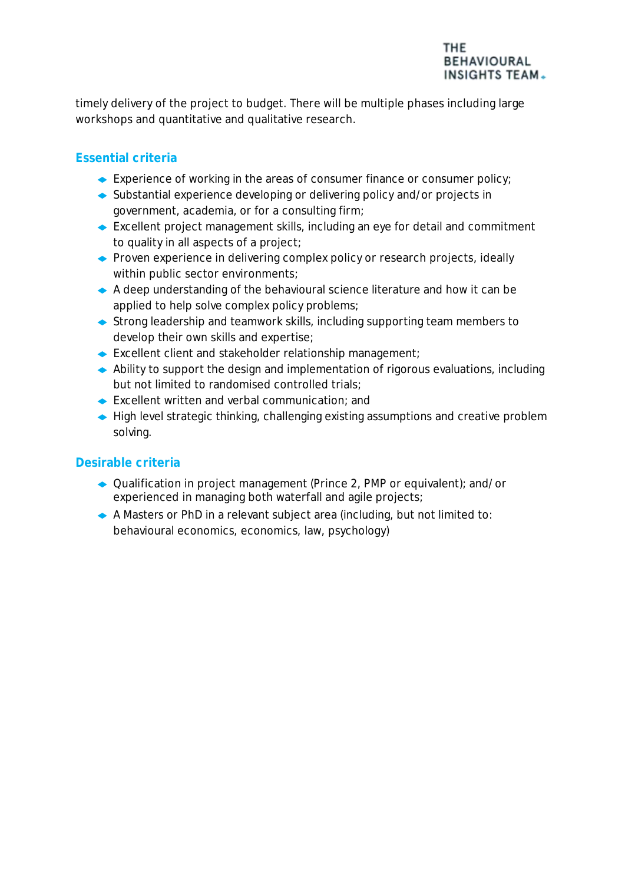

timely delivery of the project to budget. There will be multiple phases including large workshops and quantitative and qualitative research.

## **Essential criteria**

- Experience of working in the areas of consumer finance or consumer policy;
- ◆ Substantial experience developing or delivering policy and/or projects in government, academia, or for a consulting firm;
- Excellent project management skills, including an eye for detail and commitment to quality in all aspects of a project;
- ◆ Proven experience in delivering complex policy or research projects, ideally within public sector environments;
- A deep understanding of the behavioural science literature and how it can be applied to help solve complex policy problems;
- Strong leadership and teamwork skills, including supporting team members to develop their own skills and expertise;
- ◆ Excellent client and stakeholder relationship management;
- Ability to support the design and implementation of rigorous evaluations, including but not limited to randomised controlled trials;
- Excellent written and verbal communication; and
- ◆ High level strategic thinking, challenging existing assumptions and creative problem solving.

## **Desirable criteria**

- ◆ Qualification in project management (Prince 2, PMP or equivalent); and/or experienced in managing both waterfall and agile projects;
- A Masters or PhD in a relevant subject area (including, but not limited to: behavioural economics, economics, law, psychology)